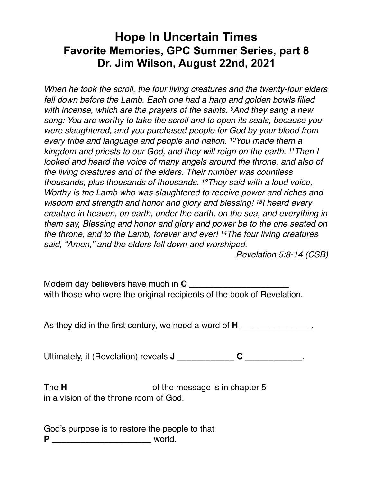## **Hope In Uncertain Times Favorite Memories, GPC Summer Series, part 8 Dr. Jim Wilson, August 22nd, 2021**

*When he took the scroll, the four living creatures and the twenty-four elders fell down before the Lamb. Each one had a harp and golden bowls filled with incense, which are the prayers of the saints. 9And they sang a new song: You are worthy to take the scroll and to open its seals, because you were slaughtered, and you purchased people for God by your blood from every tribe and language and people and nation. 10You made them a kingdom and priests to our God, and they will reign on the earth. 11Then I looked and heard the voice of many angels around the throne, and also of the living creatures and of the elders. Their number was countless thousands, plus thousands of thousands. 12They said with a loud voice, Worthy is the Lamb who was slaughtered to receive power and riches and wisdom and strength and honor and glory and blessing! 13I heard every creature in heaven, on earth, under the earth, on the sea, and everything in them say, Blessing and honor and glory and power be to the one seated on the throne, and to the Lamb, forever and ever! 14The four living creatures said, "Amen," and the elders fell down and worshiped.* 

 *Revelation 5:8-14 (CSB)* 

Modern day believers have much in **C** \_\_\_\_\_\_\_\_\_\_\_\_\_\_\_\_\_\_\_\_\_ with those who were the original recipients of the book of Revelation.

As they did in the first century, we need a word of **H**  $\qquad \qquad$ 

Ultimately, it (Revelation) reveals **J** \_\_\_\_\_\_\_\_\_\_\_\_ **C** \_\_\_\_\_\_\_\_\_\_\_\_.

The **H** \_\_\_\_\_\_\_\_\_\_\_\_\_\_\_\_\_ of the message is in chapter 5 in a vision of the throne room of God.

God's purpose is to restore the people to that **P** \_\_\_\_\_\_\_\_\_\_\_\_\_\_\_\_\_\_\_\_\_ world.